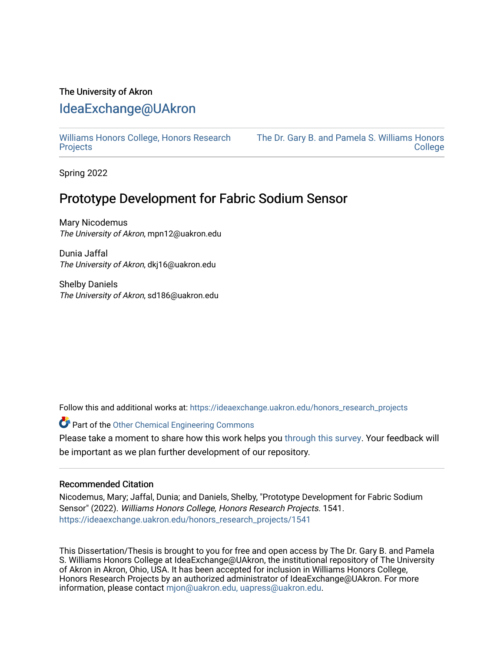### The University of Akron

## [IdeaExchange@UAkron](https://ideaexchange.uakron.edu/)

[Williams Honors College, Honors Research](https://ideaexchange.uakron.edu/honors_research_projects)  **[Projects](https://ideaexchange.uakron.edu/honors_research_projects)** 

[The Dr. Gary B. and Pamela S. Williams Honors](https://ideaexchange.uakron.edu/honorscollege_ideas)  **College** 

Spring 2022

# Prototype Development for Fabric Sodium Sensor

Mary Nicodemus The University of Akron, mpn12@uakron.edu

Dunia Jaffal The University of Akron, dkj16@uakron.edu

Shelby Daniels The University of Akron, sd186@uakron.edu

Follow this and additional works at: [https://ideaexchange.uakron.edu/honors\\_research\\_projects](https://ideaexchange.uakron.edu/honors_research_projects?utm_source=ideaexchange.uakron.edu%2Fhonors_research_projects%2F1541&utm_medium=PDF&utm_campaign=PDFCoverPages) 

Part of the [Other Chemical Engineering Commons](http://network.bepress.com/hgg/discipline/250?utm_source=ideaexchange.uakron.edu%2Fhonors_research_projects%2F1541&utm_medium=PDF&utm_campaign=PDFCoverPages) 

Please take a moment to share how this work helps you [through this survey](http://survey.az1.qualtrics.com/SE/?SID=SV_eEVH54oiCbOw05f&URL=https://ideaexchange.uakron.edu/honors_research_projects/1541). Your feedback will be important as we plan further development of our repository.

### Recommended Citation

Nicodemus, Mary; Jaffal, Dunia; and Daniels, Shelby, "Prototype Development for Fabric Sodium Sensor" (2022). Williams Honors College, Honors Research Projects. 1541. [https://ideaexchange.uakron.edu/honors\\_research\\_projects/1541](https://ideaexchange.uakron.edu/honors_research_projects/1541?utm_source=ideaexchange.uakron.edu%2Fhonors_research_projects%2F1541&utm_medium=PDF&utm_campaign=PDFCoverPages) 

This Dissertation/Thesis is brought to you for free and open access by The Dr. Gary B. and Pamela S. Williams Honors College at IdeaExchange@UAkron, the institutional repository of The University of Akron in Akron, Ohio, USA. It has been accepted for inclusion in Williams Honors College, Honors Research Projects by an authorized administrator of IdeaExchange@UAkron. For more information, please contact [mjon@uakron.edu, uapress@uakron.edu.](mailto:mjon@uakron.edu,%20uapress@uakron.edu)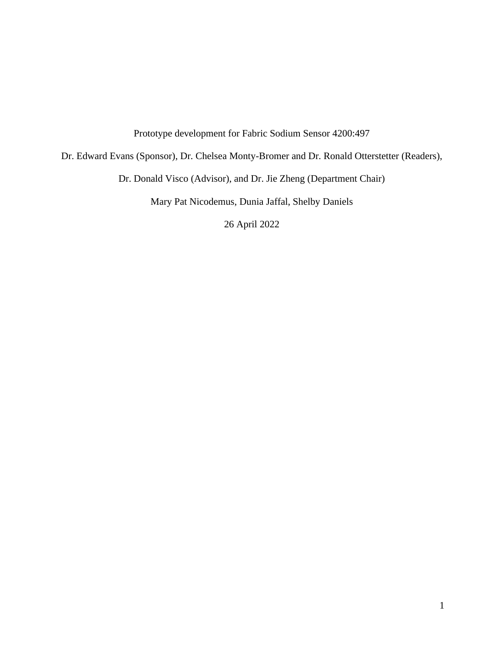Prototype development for Fabric Sodium Sensor 4200:497

Dr. Edward Evans (Sponsor), Dr. Chelsea Monty-Bromer and Dr. Ronald Otterstetter (Readers),

Dr. Donald Visco (Advisor), and Dr. Jie Zheng (Department Chair)

Mary Pat Nicodemus, Dunia Jaffal, Shelby Daniels

26 April 2022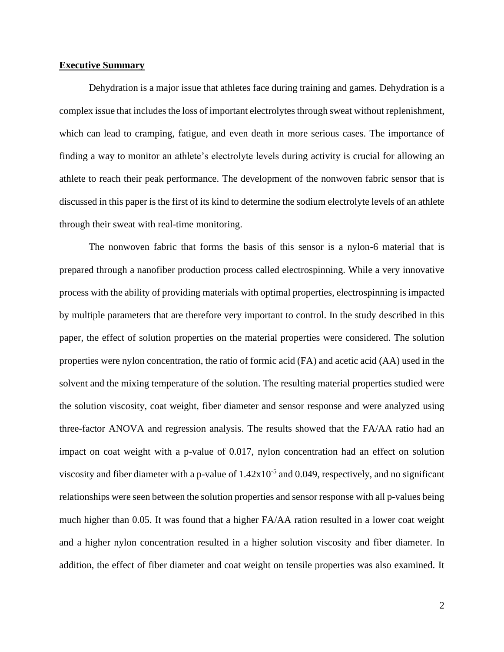### **Executive Summary**

Dehydration is a major issue that athletes face during training and games. Dehydration is a complex issue that includes the loss of important electrolytes through sweat without replenishment, which can lead to cramping, fatigue, and even death in more serious cases. The importance of finding a way to monitor an athlete's electrolyte levels during activity is crucial for allowing an athlete to reach their peak performance. The development of the nonwoven fabric sensor that is discussed in this paper is the first of its kind to determine the sodium electrolyte levels of an athlete through their sweat with real-time monitoring.

The nonwoven fabric that forms the basis of this sensor is a nylon-6 material that is prepared through a nanofiber production process called electrospinning. While a very innovative process with the ability of providing materials with optimal properties, electrospinning is impacted by multiple parameters that are therefore very important to control. In the study described in this paper, the effect of solution properties on the material properties were considered. The solution properties were nylon concentration, the ratio of formic acid (FA) and acetic acid (AA) used in the solvent and the mixing temperature of the solution. The resulting material properties studied were the solution viscosity, coat weight, fiber diameter and sensor response and were analyzed using three-factor ANOVA and regression analysis. The results showed that the FA/AA ratio had an impact on coat weight with a p-value of 0.017, nylon concentration had an effect on solution viscosity and fiber diameter with a p-value of  $1.42 \times 10^{-5}$  and 0.049, respectively, and no significant relationships were seen between the solution properties and sensor response with all p-values being much higher than 0.05. It was found that a higher FA/AA ration resulted in a lower coat weight and a higher nylon concentration resulted in a higher solution viscosity and fiber diameter. In addition, the effect of fiber diameter and coat weight on tensile properties was also examined. It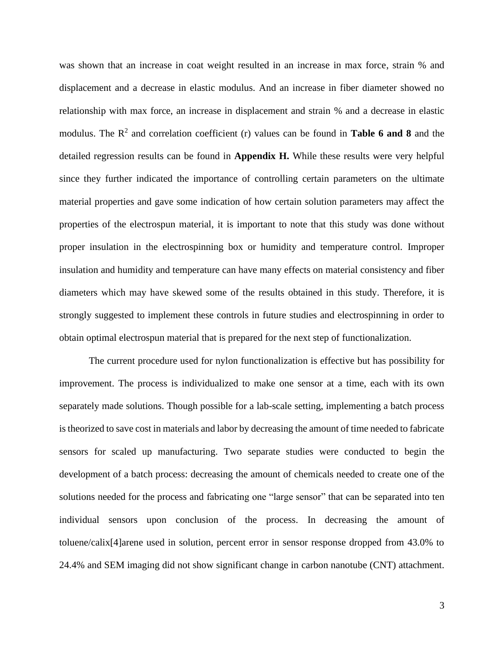was shown that an increase in coat weight resulted in an increase in max force, strain % and displacement and a decrease in elastic modulus. And an increase in fiber diameter showed no relationship with max force, an increase in displacement and strain % and a decrease in elastic modulus. The R<sup>2</sup> and correlation coefficient (r) values can be found in **Table 6 and 8** and the detailed regression results can be found in **Appendix H.** While these results were very helpful since they further indicated the importance of controlling certain parameters on the ultimate material properties and gave some indication of how certain solution parameters may affect the properties of the electrospun material, it is important to note that this study was done without proper insulation in the electrospinning box or humidity and temperature control. Improper insulation and humidity and temperature can have many effects on material consistency and fiber diameters which may have skewed some of the results obtained in this study. Therefore, it is strongly suggested to implement these controls in future studies and electrospinning in order to obtain optimal electrospun material that is prepared for the next step of functionalization.

The current procedure used for nylon functionalization is effective but has possibility for improvement. The process is individualized to make one sensor at a time, each with its own separately made solutions. Though possible for a lab-scale setting, implementing a batch process is theorized to save cost in materials and labor by decreasing the amount of time needed to fabricate sensors for scaled up manufacturing. Two separate studies were conducted to begin the development of a batch process: decreasing the amount of chemicals needed to create one of the solutions needed for the process and fabricating one "large sensor" that can be separated into ten individual sensors upon conclusion of the process. In decreasing the amount of toluene/calix[4]arene used in solution, percent error in sensor response dropped from 43.0% to 24.4% and SEM imaging did not show significant change in carbon nanotube (CNT) attachment.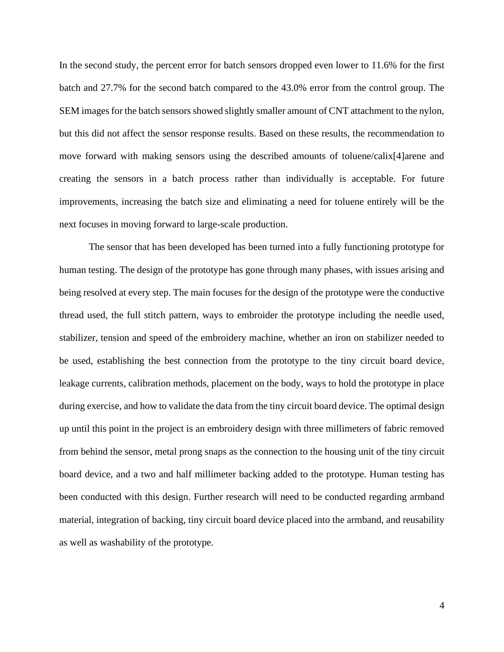In the second study, the percent error for batch sensors dropped even lower to 11.6% for the first batch and 27.7% for the second batch compared to the 43.0% error from the control group. The SEM images for the batch sensors showed slightly smaller amount of CNT attachment to the nylon, but this did not affect the sensor response results. Based on these results, the recommendation to move forward with making sensors using the described amounts of toluene/calix[4]arene and creating the sensors in a batch process rather than individually is acceptable. For future improvements, increasing the batch size and eliminating a need for toluene entirely will be the next focuses in moving forward to large-scale production.

The sensor that has been developed has been turned into a fully functioning prototype for human testing. The design of the prototype has gone through many phases, with issues arising and being resolved at every step. The main focuses for the design of the prototype were the conductive thread used, the full stitch pattern, ways to embroider the prototype including the needle used, stabilizer, tension and speed of the embroidery machine, whether an iron on stabilizer needed to be used, establishing the best connection from the prototype to the tiny circuit board device, leakage currents, calibration methods, placement on the body, ways to hold the prototype in place during exercise, and how to validate the data from the tiny circuit board device. The optimal design up until this point in the project is an embroidery design with three millimeters of fabric removed from behind the sensor, metal prong snaps as the connection to the housing unit of the tiny circuit board device, and a two and half millimeter backing added to the prototype. Human testing has been conducted with this design. Further research will need to be conducted regarding armband material, integration of backing, tiny circuit board device placed into the armband, and reusability as well as washability of the prototype.